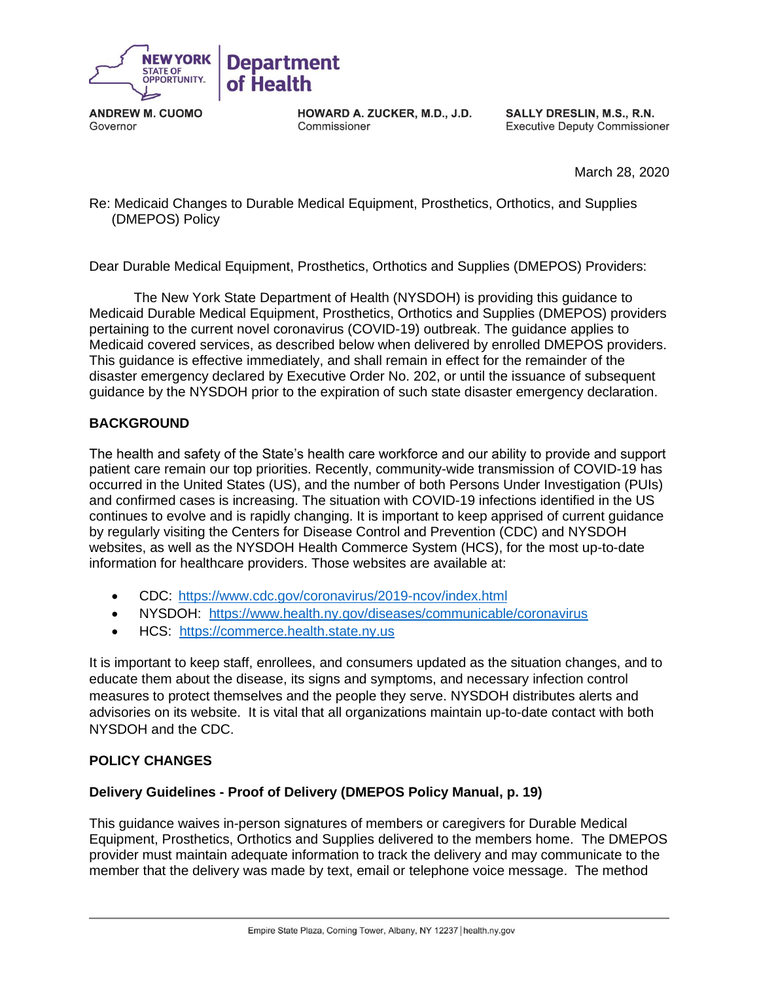

**ANDREW M. CUOMO**  Governor

**HOWARD A. ZUCKER, M.D., J.D.**  Commissioner

**SALLY DRESLIN, M.S., R.N.**  Executive Deputy Commissioner

March 28, 2020

 Re: Medicaid Changes to Durable Medical Equipment, Prosthetics, Orthotics, and Supplies (DMEPOS) Policy

Dear Durable Medical Equipment, Prosthetics, Orthotics and Supplies (DMEPOS) Providers:

 The New York State Department of Health (NYSDOH) is providing this guidance to Medicaid Durable Medical Equipment, Prosthetics, Orthotics and Supplies (DMEPOS) providers pertaining to the current novel coronavirus (COVID-19) outbreak. The guidance applies to Medicaid covered services, as described below when delivered by enrolled DMEPOS providers. This guidance is effective immediately, and shall remain in effect for the remainder of the disaster emergency declared by Executive Order No. 202, or until the issuance of subsequent guidance by the NYSDOH prior to the expiration of such state disaster emergency declaration.

### **BACKGROUND**

 The health and safety of the State's health care workforce and our ability to provide and support patient care remain our top priorities. Recently, community-wide transmission of COVID-19 has occurred in the United States (US), and the number of both Persons Under Investigation (PUIs) and confirmed cases is increasing. The situation with COVID-19 infections identified in the US continues to evolve and is rapidly changing. It is important to keep apprised of current guidance by regularly visiting the Centers for Disease Control and Prevention (CDC) and NYSDOH websites, as well as the NYSDOH Health Commerce System (HCS), for the most up-to-date information for healthcare providers. Those websites are available at:

- CDC:<https://www.cdc.gov/coronavirus/2019-ncov/index.html>
- NYSDOH: <https://www.health.ny.gov/diseases/communicable/coronavirus>
- HCS: [https://commerce.health.state.ny.us](https://commerce.health.state.ny.us/)

 It is important to keep staff, enrollees, and consumers updated as the situation changes, and to educate them about the disease, its signs and symptoms, and necessary infection control measures to protect themselves and the people they serve. NYSDOH distributes alerts and advisories on its website. It is vital that all organizations maintain up-to-date contact with both NYSDOH and the CDC.

### **POLICY CHANGES**

### **Delivery Guidelines - Proof of Delivery (DMEPOS Policy Manual, p. 19)**

 This guidance waives in-person signatures of members or caregivers for Durable Medical Equipment, Prosthetics, Orthotics and Supplies delivered to the members home. The DMEPOS provider must maintain adequate information to track the delivery and may communicate to the member that the delivery was made by text, email or telephone voice message. The method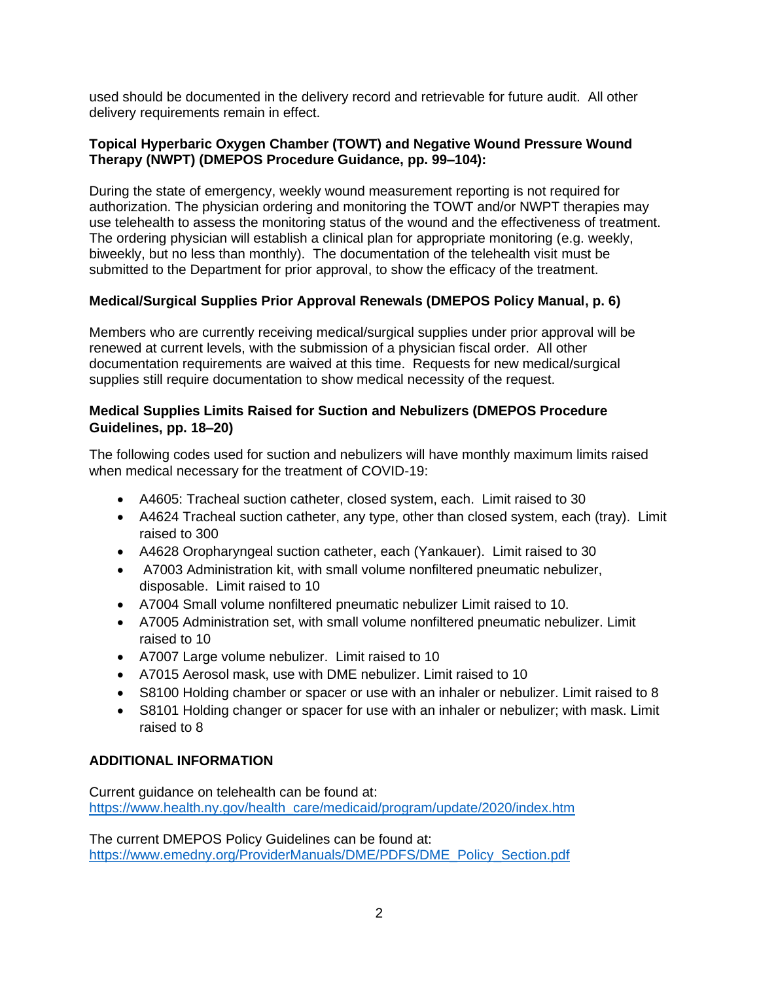used should be documented in the delivery record and retrievable for future audit. All other delivery requirements remain in effect.

### **Topical Hyperbaric Oxygen Chamber (TOWT) and Negative Wound Pressure Wound Therapy (NWPT) (DMEPOS Procedure Guidance, pp. 99–104):**

 During the state of emergency, weekly wound measurement reporting is not required for authorization. The physician ordering and monitoring the TOWT and/or NWPT therapies may use telehealth to assess the monitoring status of the wound and the effectiveness of treatment. The ordering physician will establish a clinical plan for appropriate monitoring (e.g. weekly, biweekly, but no less than monthly). The documentation of the telehealth visit must be submitted to the Department for prior approval, to show the efficacy of the treatment.

# **Medical/Surgical Supplies Prior Approval Renewals (DMEPOS Policy Manual, p. 6)**

 Members who are currently receiving medical/surgical supplies under prior approval will be renewed at current levels, with the submission of a physician fiscal order. All other documentation requirements are waived at this time. Requests for new medical/surgical supplies still require documentation to show medical necessity of the request.

### **Medical Supplies Limits Raised for Suction and Nebulizers (DMEPOS Procedure Guidelines, pp. 18–20)**

 The following codes used for suction and nebulizers will have monthly maximum limits raised when medical necessary for the treatment of COVID-19:

- A4605: Tracheal suction catheter, closed system, each. Limit raised to 30
- • A4624 Tracheal suction catheter, any type, other than closed system, each (tray). Limit raised to 300
- A4628 Oropharyngeal suction catheter, each (Yankauer). Limit raised to 30
- • A7003 Administration kit, with small volume nonfiltered pneumatic nebulizer, disposable. Limit raised to 10
- A7004 Small volume nonfiltered pneumatic nebulizer Limit raised to 10.
- • A7005 Administration set, with small volume nonfiltered pneumatic nebulizer. Limit raised to 10
- A7007 Large volume nebulizer. Limit raised to 10
- A7015 Aerosol mask, use with DME nebulizer. Limit raised to 10
- S8100 Holding chamber or spacer or use with an inhaler or nebulizer. Limit raised to 8
- • S8101 Holding changer or spacer for use with an inhaler or nebulizer; with mask. Limit raised to 8

### **ADDITIONAL INFORMATION**

Current guidance on telehealth can be found at: [https://www.health.ny.gov/health\\_care/medicaid/program/update/2020/index.htm](https://www.health.ny.gov/health_care/medicaid/program/update/2020/index.htm) 

 The current DMEPOS Policy Guidelines can be found at: [https://www.emedny.org/ProviderManuals/DME/PDFS/DME\\_Policy\\_Section.pdf](https://www.emedny.org/ProviderManuals/DME/PDFS/DME_Policy_Section.pdf)